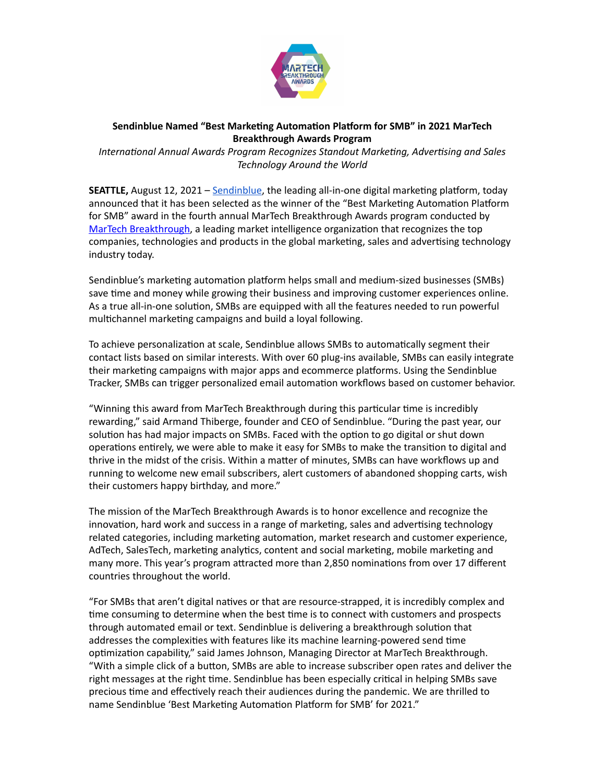

## **Sendinblue Named "Best Marketing Automation Platform for SMB" in 2021 MarTech Breakthrough Awards Program**

*Interna'onal Annual Awards Program Recognizes Standout Marke'ng, Adver'sing and Sales Technology Around the World* 

**SEATTLE,** August 12, 2021 – [Sendinblue](https://www.sendinblue.com/), the leading all-in-one digital marketing platform, today announced that it has been selected as the winner of the "Best Marketing Automation Platform for SMB" award in the fourth annual MarTech Breakthrough Awards program conducted by [MarTech Breakthrough](https://martechbreakthrough.com/), a leading market intelligence organization that recognizes the top companies, technologies and products in the global marketing, sales and advertising technology industry today.

Sendinblue's marketing automation platform helps small and medium-sized businesses (SMBs) save time and money while growing their business and improving customer experiences online. As a true all-in-one solution, SMBs are equipped with all the features needed to run powerful multichannel marketing campaigns and build a loyal following.

To achieve personalization at scale, Sendinblue allows SMBs to automatically segment their contact lists based on similar interests. With over 60 plug-ins available, SMBs can easily integrate their marketing campaigns with major apps and ecommerce platforms. Using the Sendinblue Tracker, SMBs can trigger personalized email automation workflows based on customer behavior.

"Winning this award from MarTech Breakthrough during this particular time is incredibly rewarding," said Armand Thiberge, founder and CEO of Sendinblue. "During the past year, our solution has had major impacts on SMBs. Faced with the option to go digital or shut down operations entirely, we were able to make it easy for SMBs to make the transition to digital and thrive in the midst of the crisis. Within a matter of minutes, SMBs can have workflows up and running to welcome new email subscribers, alert customers of abandoned shopping carts, wish their customers happy birthday, and more."

The mission of the MarTech Breakthrough Awards is to honor excellence and recognize the innovation, hard work and success in a range of marketing, sales and advertising technology related categories, including marketing automation, market research and customer experience, AdTech, SalesTech, marketing analytics, content and social marketing, mobile marketing and many more. This year's program attracted more than 2,850 nominations from over 17 different countries throughout the world.

"For SMBs that aren't digital natives or that are resource-strapped, it is incredibly complex and time consuming to determine when the best time is to connect with customers and prospects through automated email or text. Sendinblue is delivering a breakthrough solution that addresses the complexities with features like its machine learning-powered send time optimization capability," said James Johnson, Managing Director at MarTech Breakthrough. "With a simple click of a button, SMBs are able to increase subscriber open rates and deliver the right messages at the right time. Sendinblue has been especially critical in helping SMBs save precious time and effectively reach their audiences during the pandemic. We are thrilled to name Sendinblue 'Best Marketing Automation Platform for SMB' for 2021."